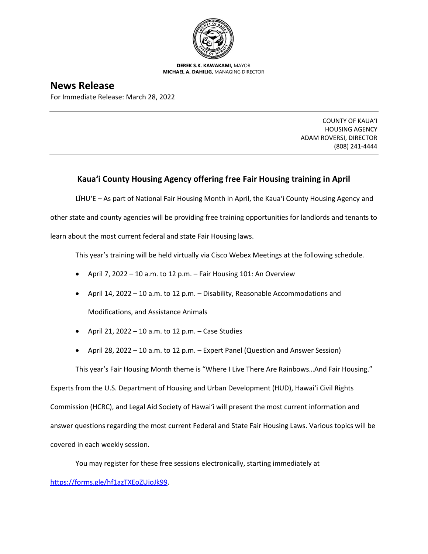

**DEREK S.K. KAWAKAMI,** MAYOR **MICHAEL A. DAHILIG,** MANAGING DIRECTOR

## **News Release**

For Immediate Release: March 28, 2022

COUNTY OF KAUA'I HOUSING AGENCY ADAM ROVERSI, DIRECTOR (808) 241-4444

## **Kaua'i County Housing Agency offering free Fair Housing training in April**

LĪHU'E – As part of National Fair Housing Month in April, the Kaua'i County Housing Agency and other state and county agencies will be providing free training opportunities for landlords and tenants to learn about the most current federal and state Fair Housing laws.

This year's training will be held virtually via Cisco Webex Meetings at the following schedule.

- April 7, 2022 10 a.m. to 12 p.m. Fair Housing 101: An Overview
- April 14, 2022 10 a.m. to 12 p.m. Disability, Reasonable Accommodations and

Modifications, and Assistance Animals

- April 21, 2022 10 a.m. to 12 p.m. Case Studies
- April 28, 2022 10 a.m. to 12 p.m. Expert Panel (Question and Answer Session)

This year's Fair Housing Month theme is "Where I Live There Are Rainbows…And Fair Housing."

Experts from the U.S. Department of Housing and Urban Development (HUD), Hawai'i Civil Rights Commission (HCRC), and Legal Aid Society of Hawai'i will present the most current information and answer questions regarding the most current Federal and State Fair Housing Laws. Various topics will be covered in each weekly session.

You may register for these free sessions electronically, starting immediately at [https://forms.gle/hf1azTXEoZUjoJk99.](https://forms.gle/hf1azTXEoZUjoJk99)